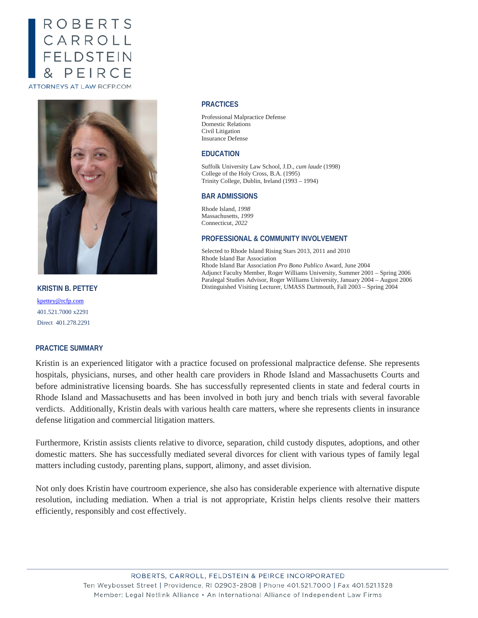# **ROBERTS** CARROLL<br>FELDSTEIN PEIRCE ATTORNEYS AT LAW RCFP.COM



**KRISTIN B. PETTEY** [kpettey@rcfp.com](mailto:kpettey@rcfp.com) 401.521.7000 x2291 Direct 401.278.2291

#### **PRACTICE SUMMARY**

## Kristin is an experienced litigator with a practice focused on professional malpractice defense. She represents hospitals, physicians, nurses, and other health care providers in Rhode Island and Massachusetts Courts and before administrative licensing boards. She has successfully represented clients in state and federal courts in Rhode Island and Massachusetts and has been involved in both jury and bench trials with several favorable

defense litigation and commercial litigation matters. Furthermore, Kristin assists clients relative to divorce, separation, child custody disputes, adoptions, and other domestic matters. She has successfully mediated several divorces for client with various types of family legal

matters including custody, parenting plans, support, alimony, and asset division.

verdicts. Additionally, Kristin deals with various health care matters, where she represents clients in insurance

Not only does Kristin have courtroom experience, she also has considerable experience with alternative dispute resolution, including mediation. When a trial is not appropriate, Kristin helps clients resolve their matters efficiently, responsibly and cost effectively.

### ROBERTS, CARROLL, FELDSTEIN & PEIRCE INCORPORATED Ten Weybosset Street | Providence, RI 02903-2808 | Phone 401.521.7000 | Fax 401.521.1328 Member: Legal Netlink Alliance • An International Alliance of Independent Law Firms

#### **PRACTICES**

Professional Malpractice Defense Domestic Relations Civil Litigation Insurance Defense

#### **EDUCATION**

Suffolk University Law School, J.D., *cum laude* (1998) College of the Holy Cross, B.A. (1995) Trinity College, Dublin, Ireland (1993 – 1994)

#### **BAR ADMISSIONS**

Rhode Island, *1998* Massachusetts, *1999* Connecticut*, 2022*

#### **PROFESSIONAL & COMMUNITY INVOLVEMENT**

Selected to Rhode Island Rising Stars 2013, 2011 and 2010 Rhode Island Bar Association Rhode Island Bar Association *Pro Bono Publico* Award, June 2004 Adjunct Faculty Member, Roger Williams University, Summer 2001 – Spring 2006 Paralegal Studies Advisor, Roger Williams University, January 2004 – August 2006 Distinguished Visiting Lecturer, UMASS Dartmouth, Fall 2003 – Spring 2004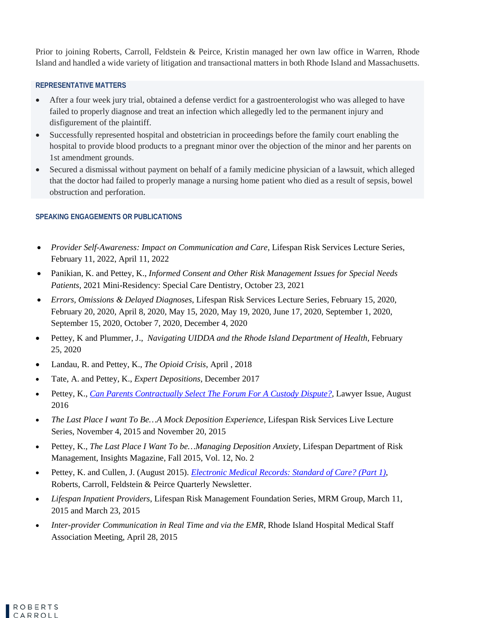Prior to joining Roberts, Carroll, Feldstein & Peirce, Kristin managed her own law office in Warren, Rhode Island and handled a wide variety of litigation and transactional matters in both Rhode Island and Massachusetts.

## **REPRESENTATIVE MATTERS**

- After a four week jury trial, obtained a defense verdict for a gastroenterologist who was alleged to have failed to properly diagnose and treat an infection which allegedly led to the permanent injury and disfigurement of the plaintiff.
- Successfully represented hospital and obstetrician in proceedings before the family court enabling the hospital to provide blood products to a pregnant minor over the objection of the minor and her parents on 1st amendment grounds.
- Secured a dismissal without payment on behalf of a family medicine physician of a lawsuit, which alleged that the doctor had failed to properly manage a nursing home patient who died as a result of sepsis, bowel obstruction and perforation.

## **SPEAKING ENGAGEMENTS OR PUBLICATIONS**

- *Provider Self-Awareness: Impact on Communication and Care*, Lifespan Risk Services Lecture Series, February 11, 2022, April 11, 2022
- Panikian, K. and Pettey, K., *Informed Consent and Other Risk Management Issues for Special Needs Patients*, 2021 Mini-Residency: Special Care Dentistry, October 23, 2021
- *Errors, Omissions & Delayed Diagnoses*, Lifespan Risk Services Lecture Series, February 15, 2020, February 20, 2020, April 8, 2020, May 15, 2020, May 19, 2020, June 17, 2020, September 1, 2020, September 15, 2020, October 7, 2020, December 4, 2020
- Pettey, K and Plummer, J., *Navigating UIDDA and the Rhode Island Department of Health,* February 25, 2020
- Landau, R. and Pettey, K., *The Opioid Crisis*, April , 2018
- Tate, A. and Pettey, K., *Expert Depositions*, December 2017
- Pettey, K., *[Can Parents Contractually Select The Forum For A Custody Dispute?](http://www.lawyerissue.com/magazine/)*, Lawyer Issue, August 2016
- *The Last Place I want To Be…A Mock Deposition Experience*, Lifespan Risk Services Live Lecture Series, November 4, 2015 and November 20, 2015
- Pettey, K., *The Last Place I Want To be…Managing Deposition Anxiety*, Lifespan Department of Risk Management, Insights Magazine, Fall 2015, Vol. 12, No. 2
- Pettey, K. and Cullen, J. (August 2015). *[Electronic Medical Records: Standard of Care? \(Part 1\)](http://www.rcfp.com/assets/Newsletter/Electronic-Medical-Records-Standard-of-Care-Kristin-Pettey.pdf)*, Roberts, Carroll, Feldstein & Peirce Quarterly Newsletter.
- *Lifespan Inpatient Providers*, Lifespan Risk Management Foundation Series, MRM Group, March 11, 2015 and March 23, 2015
- *Inter-provider Communication in Real Time and via the EMR*, Rhode Island Hospital Medical Staff Association Meeting, April 28, 2015